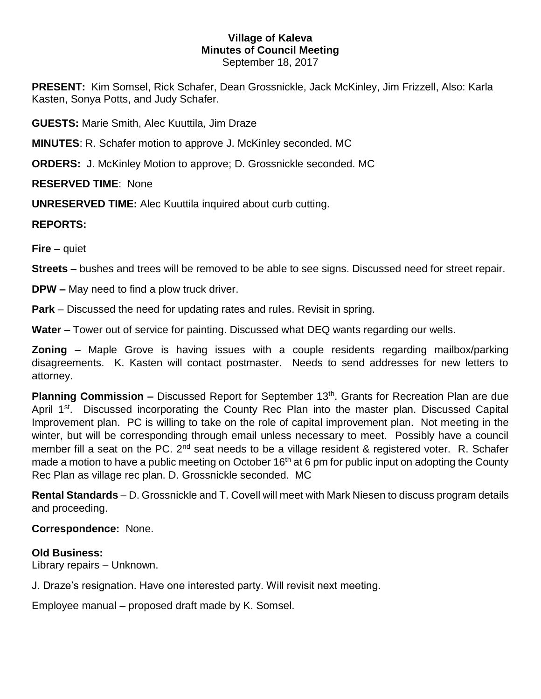# **Village of Kaleva Minutes of Council Meeting**

September 18, 2017

**PRESENT:** Kim Somsel, Rick Schafer, Dean Grossnickle, Jack McKinley, Jim Frizzell, Also: Karla Kasten, Sonya Potts, and Judy Schafer.

**GUESTS:** Marie Smith, Alec Kuuttila, Jim Draze

**MINUTES**: R. Schafer motion to approve J. McKinley seconded. MC

**ORDERS:** J. McKinley Motion to approve; D. Grossnickle seconded. MC

## **RESERVED TIME**: None

**UNRESERVED TIME:** Alec Kuuttila inquired about curb cutting.

### **REPORTS:**

**Fire** – quiet

**Streets** – bushes and trees will be removed to be able to see signs. Discussed need for street repair.

**DPW –** May need to find a plow truck driver.

**Park** – Discussed the need for updating rates and rules. Revisit in spring.

**Water** – Tower out of service for painting. Discussed what DEQ wants regarding our wells.

**Zoning** – Maple Grove is having issues with a couple residents regarding mailbox/parking disagreements. K. Kasten will contact postmaster. Needs to send addresses for new letters to attorney.

Planning Commission - Discussed Report for September 13<sup>th</sup>. Grants for Recreation Plan are due April 1<sup>st</sup>. Discussed incorporating the County Rec Plan into the master plan. Discussed Capital Improvement plan. PC is willing to take on the role of capital improvement plan. Not meeting in the winter, but will be corresponding through email unless necessary to meet. Possibly have a council member fill a seat on the PC. 2<sup>nd</sup> seat needs to be a village resident & registered voter. R. Schafer made a motion to have a public meeting on October 16<sup>th</sup> at 6 pm for public input on adopting the County Rec Plan as village rec plan. D. Grossnickle seconded. MC

**Rental Standards** – D. Grossnickle and T. Covell will meet with Mark Niesen to discuss program details and proceeding.

### **Correspondence:** None.

### **Old Business:**

Library repairs – Unknown.

J. Draze's resignation. Have one interested party. Will revisit next meeting.

Employee manual – proposed draft made by K. Somsel.